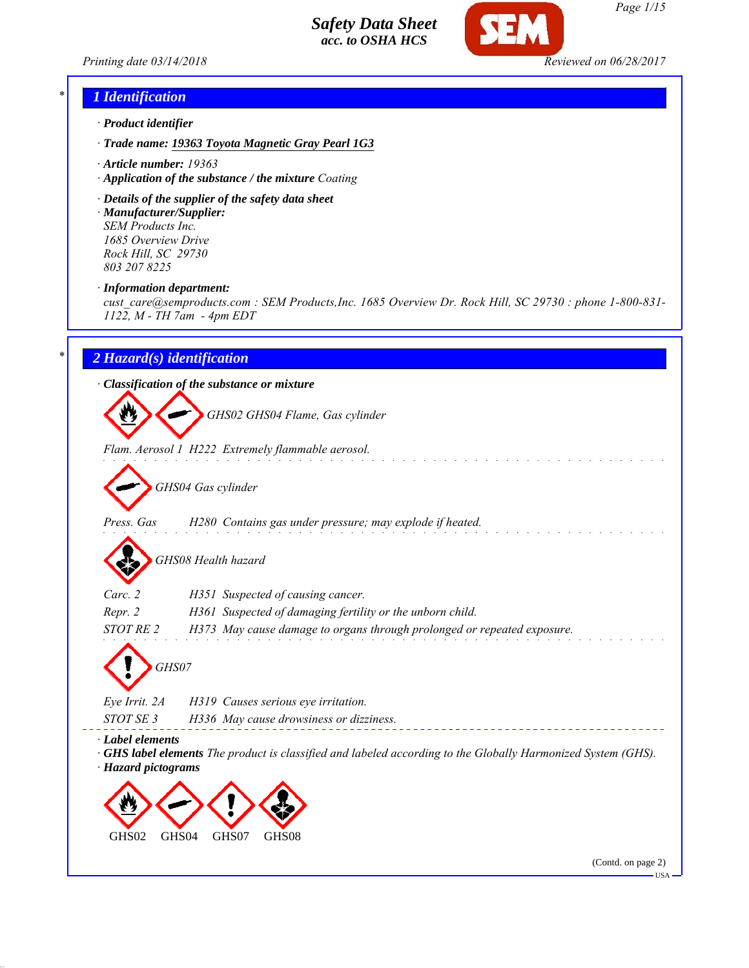



### *\* 1 Identification*

- *· Product identifier*
- *· Trade name: 19363 Toyota Magnetic Gray Pearl 1G3*
- *· Article number: 19363*
- *· Application of the substance / the mixture Coating*
- *· Details of the supplier of the safety data sheet*

*· Manufacturer/Supplier: SEM Products Inc. 1685 Overview Drive Rock Hill, SC 29730 803 207 8225*

*· Information department:*

*cust\_care@semproducts.com : SEM Products,Inc. 1685 Overview Dr. Rock Hill, SC 29730 : phone 1-800-831- 1122, M - TH 7am - 4pm EDT*

### *\* 2 Hazard(s) identification*

### *· Classification of the substance or mixture*

*GHS02 GHS04 Flame, Gas cylinder*

*Flam. Aerosol 1 H222 Extremely flammable aerosol.*

*GHS04 Gas cylinder*

*Press. Gas H280 Contains gas under pressure; may explode if heated.*

*GHS08 Health hazard*

| Carc. 2 | H351 Suspected of causing cancer.                         |
|---------|-----------------------------------------------------------|
| Repr. 2 | H361 Suspected of damaging fertility or the unborn child. |

*STOT RE 2 H373 May cause damage to organs through prolonged or repeated exposure.*



*Eye Irrit. 2A H319 Causes serious eye irritation. STOT SE 3 H336 May cause drowsiness or dizziness.*

*· Label elements*

*· GHS label elements The product is classified and labeled according to the Globally Harmonized System (GHS). · Hazard pictograms*



(Contd. on page 2)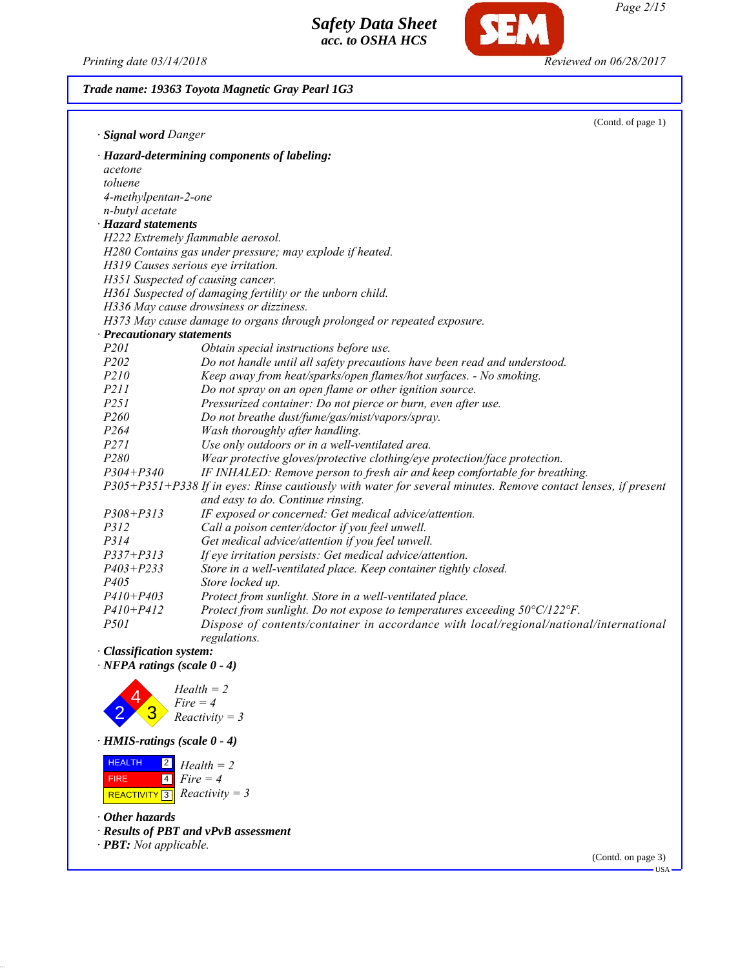*Printing date 03/14/2018 Reviewed on 06/28/2017*

**SEM** 

*Page 2/15*

| Trade name: 19363 Toyota Magnetic Gray Pearl 1G3 |  |  |
|--------------------------------------------------|--|--|
|--------------------------------------------------|--|--|

| · Signal word Danger       | (Contd. of page 1)                                                                                            |
|----------------------------|---------------------------------------------------------------------------------------------------------------|
|                            | · Hazard-determining components of labeling:                                                                  |
| acetone                    |                                                                                                               |
| toluene                    |                                                                                                               |
| 4-methylpentan-2-one       |                                                                                                               |
| n-butyl acetate            |                                                                                                               |
| · Hazard statements        |                                                                                                               |
|                            | H222 Extremely flammable aerosol.                                                                             |
|                            | H280 Contains gas under pressure; may explode if heated.                                                      |
|                            | H319 Causes serious eye irritation.                                                                           |
|                            | H351 Suspected of causing cancer.                                                                             |
|                            | H361 Suspected of damaging fertility or the unborn child.                                                     |
|                            | H336 May cause drowsiness or dizziness.                                                                       |
|                            | H373 May cause damage to organs through prolonged or repeated exposure.                                       |
| · Precautionary statements |                                                                                                               |
| P <sub>201</sub>           | Obtain special instructions before use.                                                                       |
| P <sub>202</sub>           | Do not handle until all safety precautions have been read and understood.                                     |
| P210                       | Keep away from heat/sparks/open flames/hot surfaces. - No smoking.                                            |
| P211                       | Do not spray on an open flame or other ignition source.                                                       |
| P251                       | Pressurized container: Do not pierce or burn, even after use.                                                 |
| P <sub>260</sub>           | Do not breathe dust/fume/gas/mist/vapors/spray.                                                               |
| P <sub>264</sub>           | Wash thoroughly after handling.                                                                               |
| P271                       | Use only outdoors or in a well-ventilated area.                                                               |
| P280                       | Wear protective gloves/protective clothing/eye protection/face protection.                                    |
| $P304 + P340$              | IF INHALED: Remove person to fresh air and keep comfortable for breathing.                                    |
|                            | P305+P351+P338 If in eyes: Rinse cautiously with water for several minutes. Remove contact lenses, if present |
|                            | and easy to do. Continue rinsing.                                                                             |
| $P308 + P313$              | IF exposed or concerned: Get medical advice/attention.                                                        |
| P312                       | Call a poison center/doctor if you feel unwell.                                                               |
| P314                       | Get medical advice/attention if you feel unwell.                                                              |
| $P337 + P313$              | If eye irritation persists: Get medical advice/attention.                                                     |
| $P403 + P233$              | Store in a well-ventilated place. Keep container tightly closed.                                              |
| P405                       | Store locked up.                                                                                              |
| $P410 + P403$              | Protect from sunlight. Store in a well-ventilated place.                                                      |
| $P410 + P412$              | Protect from sunlight. Do not expose to temperatures exceeding 50°C/122°F.                                    |
| <i>P501</i>                | Dispose of contents/container in accordance with local/regional/national/international                        |
|                            | regulations.                                                                                                  |
|                            |                                                                                                               |
| · Classification system:   |                                                                                                               |



*· HMIS-ratings (scale 0 - 4)*

 HEALTH FIRE  $R$ **REACTIVITY** 3 *Reactivity* = 3 2 *Health = 2* 4 *Fire = 4*

*· Other hazards*

*· Results of PBT and vPvB assessment*

*· PBT: Not applicable.*

(Contd. on page 3)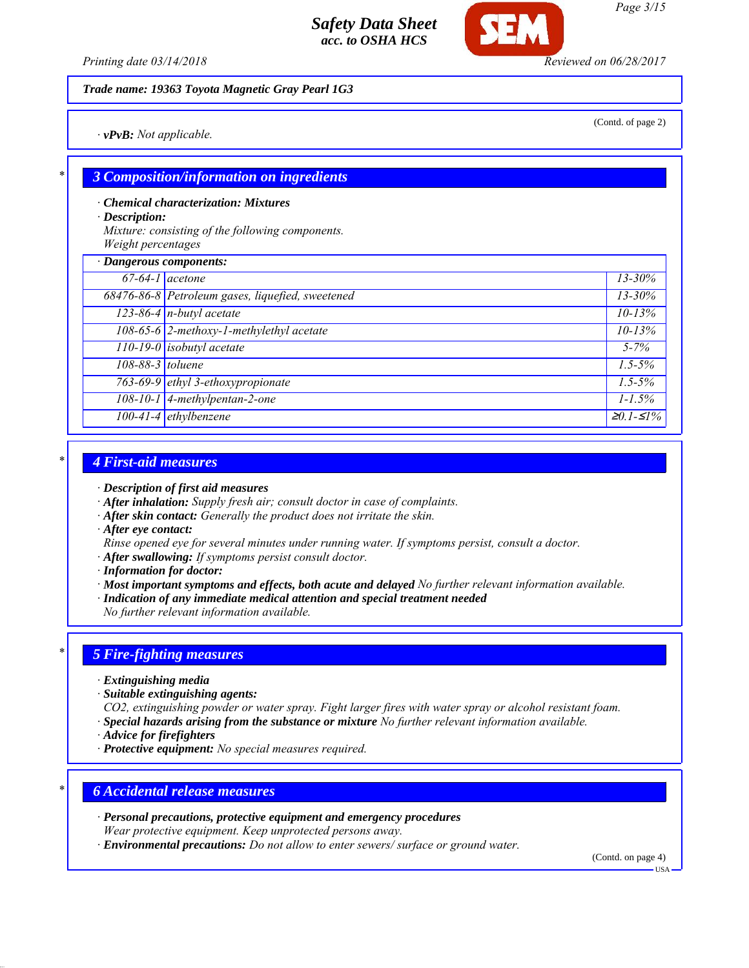*Printing date 03/14/2018 Reviewed on 06/28/2017*

*Trade name: 19363 Toyota Magnetic Gray Pearl 1G3*

*· vPvB: Not applicable.*

(Contd. of page 2)

## *\* 3 Composition/information on ingredients*

*· Chemical characterization: Mixtures*

*· Description:*

*Mixture: consisting of the following components. Weight percentages*

| · Dangerous components: |                                                  |             |
|-------------------------|--------------------------------------------------|-------------|
| $67-64-1$ acetone       |                                                  | $13 - 30\%$ |
|                         | 68476-86-8 Petroleum gases, liquefied, sweetened | $13 - 30\%$ |
|                         | $123-86-4$ n-butyl acetate                       | $10 - 13%$  |
|                         | 108-65-6 2-methoxy-1-methylethyl acetate         | $10 - 13%$  |
|                         | 110-19-0 isobutyl acetate                        | $5 - 7\%$   |
| 108-88-3 toluene        |                                                  | $1.5 - 5\%$ |
|                         | 763-69-9 ethyl 3-ethoxypropionate                | $1.5 - 5\%$ |
|                         | $108-10-1$ 4-methylpentan-2-one                  | $1 - 1.5\%$ |
|                         | $100-41-4$ ethylbenzene                          | $≥0.1-S1%$  |

#### *\* 4 First-aid measures*

- *· Description of first aid measures*
- *· After inhalation: Supply fresh air; consult doctor in case of complaints.*
- *· After skin contact: Generally the product does not irritate the skin.*
- *· After eye contact:*
- *Rinse opened eye for several minutes under running water. If symptoms persist, consult a doctor.*
- *· After swallowing: If symptoms persist consult doctor.*
- *· Information for doctor:*
- *· Most important symptoms and effects, both acute and delayed No further relevant information available.*
- *· Indication of any immediate medical attention and special treatment needed*
- *No further relevant information available.*

#### *\* 5 Fire-fighting measures*

- *· Extinguishing media*
- *· Suitable extinguishing agents:*
- *CO2, extinguishing powder or water spray. Fight larger fires with water spray or alcohol resistant foam. · Special hazards arising from the substance or mixture No further relevant information available.*
- *· Advice for firefighters*
- *· Protective equipment: No special measures required.*

#### *\* 6 Accidental release measures*

*· Personal precautions, protective equipment and emergency procedures*

*Wear protective equipment. Keep unprotected persons away.*

*· Environmental precautions: Do not allow to enter sewers/ surface or ground water.*

(Contd. on page 4)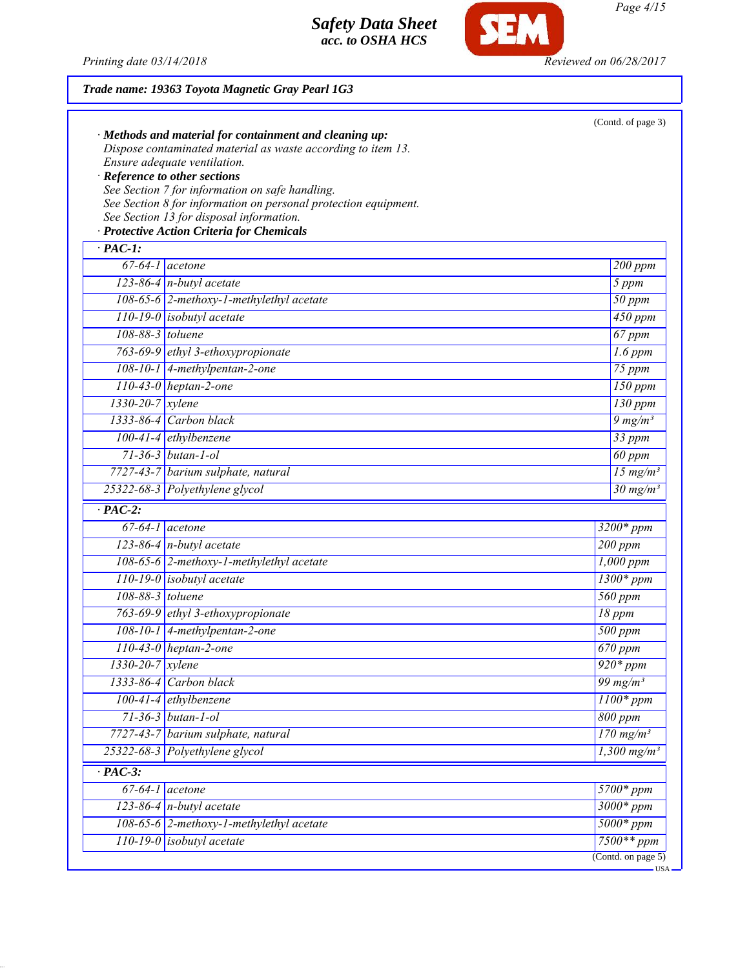

SEM

| Trade name: 19363 Toyota Magnetic Gray Pearl 1G3                                                                   |                                    |  |
|--------------------------------------------------------------------------------------------------------------------|------------------------------------|--|
|                                                                                                                    | (Contd. of page 3)                 |  |
| $\cdot$ Methods and material for containment and cleaning up:                                                      |                                    |  |
| Dispose contaminated material as waste according to item 13.                                                       |                                    |  |
| Ensure adequate ventilation.                                                                                       |                                    |  |
| · Reference to other sections                                                                                      |                                    |  |
| See Section 7 for information on safe handling.<br>See Section 8 for information on personal protection equipment. |                                    |  |
| See Section 13 for disposal information.                                                                           |                                    |  |
| · Protective Action Criteria for Chemicals                                                                         |                                    |  |
| $\overline{PAC-1}$ :                                                                                               |                                    |  |
| $67-64-1$ acetone                                                                                                  | 200 ppm                            |  |
| $\overline{123-86-4}$ n-butyl acetate                                                                              | 5 ppm                              |  |
| 108-65-6 2-methoxy-1-methylethyl acetate                                                                           | $\overline{50}$ ppm                |  |
| $\boxed{110-19-0}$ isobutyl acetate                                                                                | 450 ppm                            |  |
| 108-88-3 toluene                                                                                                   | 67 ppm                             |  |
| 763-69-9 ethyl 3-ethoxypropionate                                                                                  | $1.6$ ppm                          |  |
| $108-10-1$ 4-methylpentan-2-one                                                                                    | 75 ppm                             |  |
| $110-43-0$ heptan-2-one                                                                                            | $150$ ppm                          |  |
| 1330-20-7 xylene                                                                                                   | $\overline{130}$ ppm               |  |
| 1333-86-4 Carbon black                                                                                             | $9 \frac{mg}{m^3}$                 |  |
| $100-41-4$ ethylbenzene                                                                                            | 33 ppm                             |  |
| $71 - 36 - 3$ butan-1-ol                                                                                           | 60 ppm                             |  |
| 7727-43-7 barium sulphate, natural                                                                                 | 15 $mg/m^3$                        |  |
| 25322-68-3 Polyethylene glycol                                                                                     | $30$ mg/m <sup>3</sup>             |  |
| $\cdot$ PAC-2:                                                                                                     |                                    |  |
| $\overline{67-64-1}$ acetone                                                                                       | $3200*$ ppm                        |  |
| $\overline{123-86-4}$ n-butyl acetate                                                                              | 200 ppm                            |  |
| 108-65-6 2-methoxy-1-methylethyl acetate                                                                           | $1,000$ ppm                        |  |
| $110-19-0$ isobutyl acetate                                                                                        | $1300*ppm$                         |  |
| $108-88-3$ toluene                                                                                                 | 560 ppm                            |  |
| 763-69-9 ethyl 3-ethoxypropionate                                                                                  | 18 ppm                             |  |
| 108-10-1 4-methylpentan-2-one                                                                                      | $500$ ppm                          |  |
| $110-43-0$ heptan-2-one                                                                                            | $670$ ppm                          |  |
| 1330-20-7 xylene                                                                                                   | $920*ppm$                          |  |
| $1333 - 86 - 4$<br>Carbon black                                                                                    | 99 mg/m $3$                        |  |
| $100 - 41 - 4$<br>ethylbenzene                                                                                     | $1100*ppm$                         |  |
| $71 - 36 - 3$ butan-1-ol                                                                                           | 800 ppm                            |  |
| barium sulphate, natural<br>$7727 - 43 - 7$                                                                        | $170$ mg/m <sup>3</sup>            |  |
| Polyethylene glycol<br>25322-68-3                                                                                  | $1,300$ mg/m <sup>3</sup>          |  |
| $\cdot$ PAC-3:                                                                                                     |                                    |  |
| $67 - 64 - 1$<br>acetone                                                                                           | 5700* ppm                          |  |
| $\overline{123-86-4}$ n-butyl acetate                                                                              | $3000*ppm$                         |  |
| 108-65-6 2-methoxy-1-methylethyl acetate                                                                           | $5000*ppm$                         |  |
| isobutyl acetate<br>$110 - 19 - 0$                                                                                 | $7500**$ ppm<br>(Contd. on page 5) |  |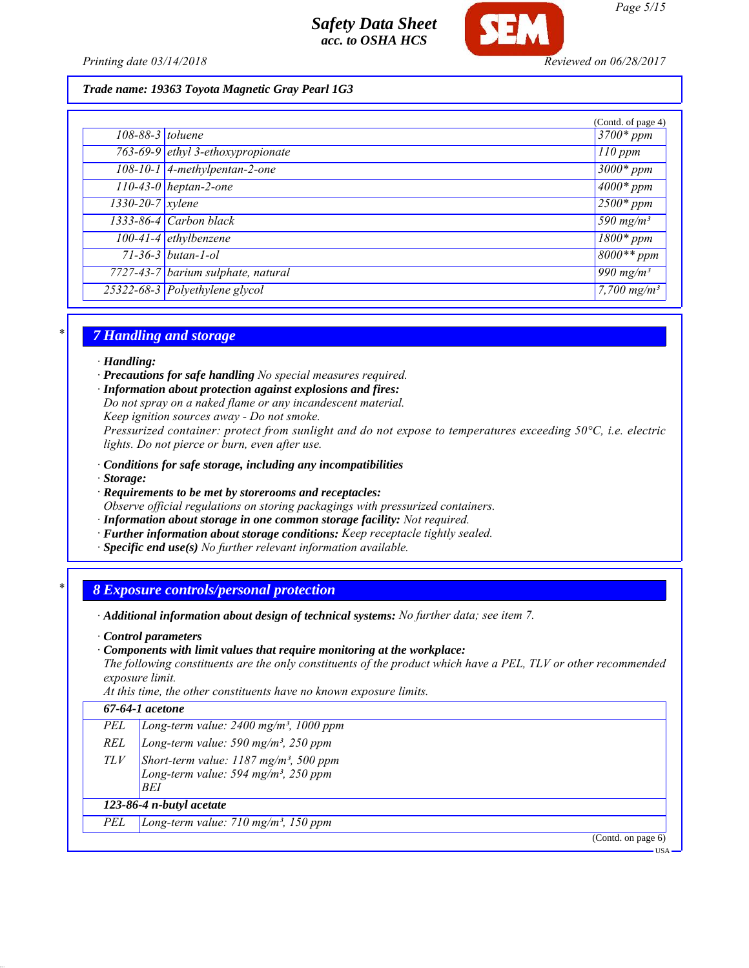

*Printing date 03/14/2018 Reviewed on 06/28/2017*

*Page 5/15*

### *Trade name: 19363 Toyota Magnetic Gray Pearl 1G3*

|                        |                                    | (Contd. of page 4)                 |
|------------------------|------------------------------------|------------------------------------|
| $108-88-3$ toluene     |                                    | $3700*$ ppm                        |
|                        | 763-69-9 ethyl 3-ethoxypropionate  | $110$ ppm                          |
|                        | $108-10-1$ 4-methylpentan-2-one    | $3000*$ ppm                        |
|                        | $110-43-0$ heptan-2-one            | $\frac{4000*}{2}$ ppm              |
| $1330 - 20 - 7$ xylene |                                    | $2500*ppm$                         |
|                        | $1333-86-4$ Carbon black           | $\overline{590}$ mg/m <sup>3</sup> |
|                        | 100-41-4 ethylbenzene              | $\frac{1800*}{ppm}$                |
|                        | $71 - 36 - 3$ butan-1-ol           | $8000**$ ppm                       |
|                        | 7727-43-7 barium sulphate, natural | 990 mg/m <sup>3</sup>              |
|                        | 25322-68-3 Polyethylene glycol     | $7,700$ mg/m <sup>3</sup>          |

### *\* 7 Handling and storage*

#### *· Handling:*

*· Precautions for safe handling No special measures required.*

*· Information about protection against explosions and fires:*

*Do not spray on a naked flame or any incandescent material.*

*Keep ignition sources away - Do not smoke.*

*Pressurized container: protect from sunlight and do not expose to temperatures exceeding 50°C, i.e. electric lights. Do not pierce or burn, even after use.*

*· Conditions for safe storage, including any incompatibilities*

- *· Storage:*
- *· Requirements to be met by storerooms and receptacles:*
- *Observe official regulations on storing packagings with pressurized containers.*
- *· Information about storage in one common storage facility: Not required.*
- *· Further information about storage conditions: Keep receptacle tightly sealed.*
- *· Specific end use(s) No further relevant information available.*

### *\* 8 Exposure controls/personal protection*

*· Additional information about design of technical systems: No further data; see item 7.*

- *· Control parameters*
- *· Components with limit values that require monitoring at the workplace:*

*The following constituents are the only constituents of the product which have a PEL, TLV or other recommended exposure limit.*

*At this time, the other constituents have no known exposure limits.*

### *67-64-1 acetone*

|  | PEL $\vert$ Long-term value: 2400 mg/m <sup>3</sup> , 1000 ppm |  |  |  |  |
|--|----------------------------------------------------------------|--|--|--|--|
|--|----------------------------------------------------------------|--|--|--|--|

- *REL Long-term value: 590 mg/m³, 250 ppm*
- *TLV Short-term value: 1187 mg/m³, 500 ppm Long-term value: 594 mg/m³, 250 ppm BEI*

## *123-86-4 n-butyl acetate*

*PEL Long-term value: 710 mg/m³, 150 ppm*

(Contd. on page 6)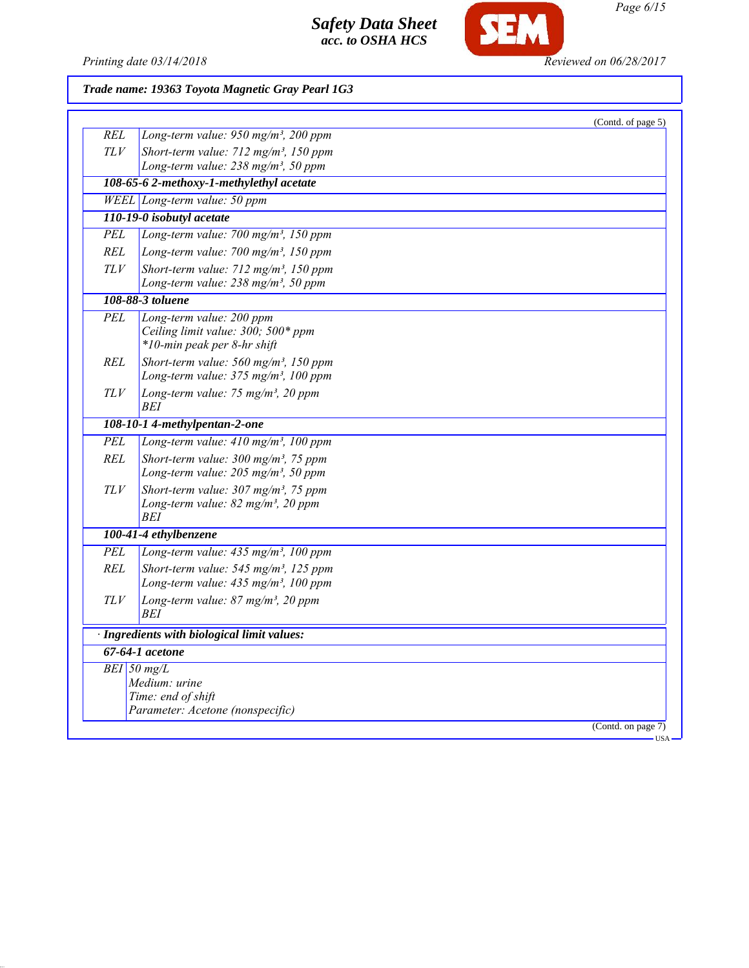

**SEM** 

# *Trade name: 19363 Toyota Magnetic Gray Pearl 1G3*

|            |                                                         | (Contd. of page 5) |
|------------|---------------------------------------------------------|--------------------|
| REL        | Long-term value: 950 mg/m <sup>3</sup> , 200 ppm        |                    |
| TLV        | Short-term value: 712 mg/m <sup>3</sup> , 150 ppm       |                    |
|            | Long-term value: 238 mg/m <sup>3</sup> , 50 ppm         |                    |
|            | 108-65-6 2-methoxy-1-methylethyl acetate                |                    |
|            | WEEL Long-term value: 50 ppm                            |                    |
|            | 110-19-0 isobutyl acetate                               |                    |
| PEL        | Long-term value: $700$ mg/m <sup>3</sup> , 150 ppm      |                    |
| REL        | Long-term value: 700 mg/m <sup>3</sup> , 150 ppm        |                    |
| TLV        | Short-term value: 712 mg/m <sup>3</sup> , 150 ppm       |                    |
|            | Long-term value: $238$ mg/m <sup>3</sup> , 50 ppm       |                    |
|            | 108-88-3 toluene                                        |                    |
| PEL        | Long-term value: 200 ppm                                |                    |
|            | Ceiling limit value: 300; 500* ppm                      |                    |
|            | *10-min peak per 8-hr shift                             |                    |
| REL        | Short-term value: 560 mg/m <sup>3</sup> , 150 ppm       |                    |
|            | Long-term value: 375 mg/m <sup>3</sup> , 100 ppm        |                    |
| <b>TLV</b> | Long-term value: 75 mg/m <sup>3</sup> , 20 ppm          |                    |
|            | <b>BEI</b>                                              |                    |
|            | 108-10-1 4-methylpentan-2-one                           |                    |
| <b>PEL</b> | Long-term value: 410 mg/m <sup>3</sup> , 100 ppm        |                    |
| <b>REL</b> | Short-term value: 300 mg/m <sup>3</sup> , 75 ppm        |                    |
|            | Long-term value: $205$ mg/m <sup>3</sup> , 50 ppm       |                    |
| TLV        | Short-term value: $307 \text{ mg/m}^3$ , 75 ppm         |                    |
|            | Long-term value: 82 mg/m <sup>3</sup> , 20 ppm          |                    |
|            | BEI                                                     |                    |
|            | 100-41-4 ethylbenzene                                   |                    |
| <b>PEL</b> | Long-term value: 435 mg/m <sup>3</sup> , 100 ppm        |                    |
| REL        | Short-term value: 545 mg/m <sup>3</sup> , 125 ppm       |                    |
|            | Long-term value: 435 mg/m <sup>3</sup> , 100 ppm        |                    |
| <b>TLV</b> | Long-term value: $87$ mg/m <sup>3</sup> , 20 ppm<br>BEI |                    |
|            | · Ingredients with biological limit values:             |                    |
|            | 67-64-1 acetone                                         |                    |
|            | $BEI$ 50 mg/L                                           |                    |
|            | Medium: urine                                           |                    |
|            | Time: end of shift                                      |                    |
|            | Parameter: Acetone (nonspecific)                        |                    |
|            |                                                         | (Contd. on page 7) |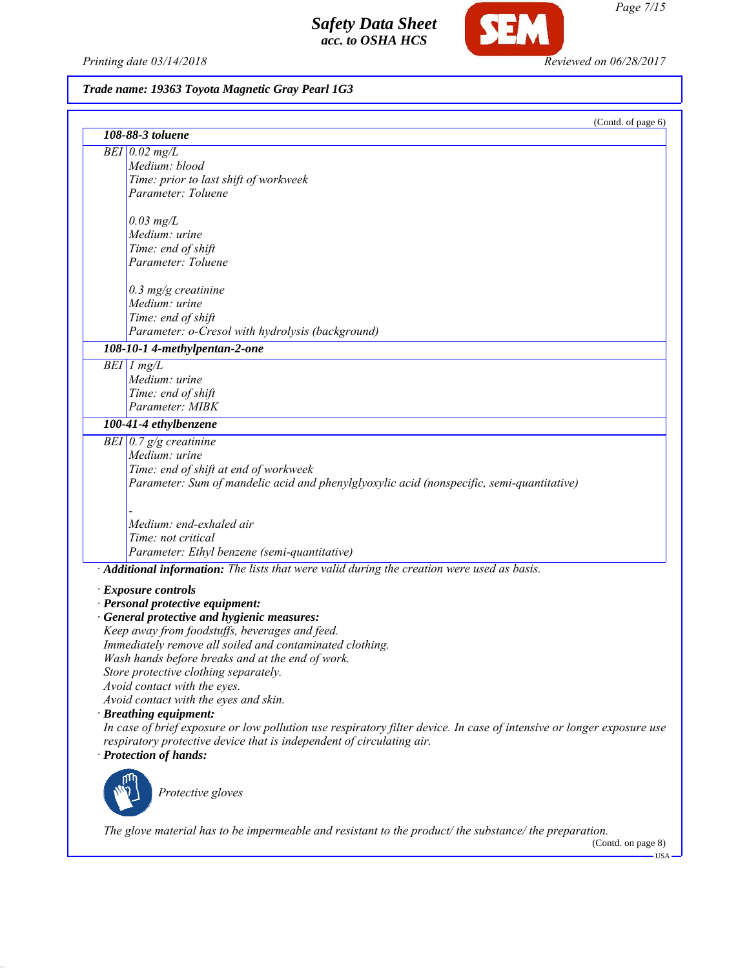*Printing date 03/14/2018 Reviewed on 06/28/2017*

SEM

# *Trade name: 19363 Toyota Magnetic Gray Pearl 1G3*

|                                                                                                                       | (Contd. of page 6) |
|-----------------------------------------------------------------------------------------------------------------------|--------------------|
| 108-88-3 toluene                                                                                                      |                    |
| $BEI$ 0.02 mg/L                                                                                                       |                    |
| Medium: blood                                                                                                         |                    |
| Time: prior to last shift of workweek                                                                                 |                    |
| Parameter: Toluene                                                                                                    |                    |
| $0.03$ mg/L                                                                                                           |                    |
| Medium: urine                                                                                                         |                    |
| Time: end of shift                                                                                                    |                    |
| Parameter: Toluene                                                                                                    |                    |
| $0.3$ mg/g creatinine                                                                                                 |                    |
| Medium: urine                                                                                                         |                    |
| Time: end of shift                                                                                                    |                    |
| Parameter: o-Cresol with hydrolysis (background)                                                                      |                    |
| 108-10-1 4-methylpentan-2-one                                                                                         |                    |
| $BEI$ 1 mg/L                                                                                                          |                    |
| Medium: urine                                                                                                         |                    |
| Time: end of shift                                                                                                    |                    |
| Parameter: MIBK                                                                                                       |                    |
| 100-41-4 ethylbenzene                                                                                                 |                    |
| BEI $0.7$ g/g creatinine                                                                                              |                    |
| Medium: urine                                                                                                         |                    |
| Time: end of shift at end of workweek                                                                                 |                    |
| Parameter: Sum of mandelic acid and phenylglyoxylic acid (nonspecific, semi-quantitative)                             |                    |
|                                                                                                                       |                    |
| Medium: end-exhaled air                                                                                               |                    |
| Time: not critical                                                                                                    |                    |
| Parameter: Ethyl benzene (semi-quantitative)                                                                          |                    |
| · Additional information: The lists that were valid during the creation were used as basis.                           |                    |
|                                                                                                                       |                    |
| · Exposure controls<br>· Personal protective equipment:                                                               |                    |
| · General protective and hygienic measures:                                                                           |                    |
| Keep away from foodstuffs, beverages and feed.                                                                        |                    |
| Immediately remove all soiled and contaminated clothing.                                                              |                    |
| Wash hands before breaks and at the end of work.                                                                      |                    |
| Store protective clothing separately.                                                                                 |                    |
| Avoid contact with the eyes.                                                                                          |                    |
| Avoid contact with the eyes and skin.                                                                                 |                    |
| · Breathing equipment:                                                                                                |                    |
| In case of brief exposure or low pollution use respiratory filter device. In case of intensive or longer exposure use |                    |
| respiratory protective device that is independent of circulating air.                                                 |                    |
| · Protection of hands:                                                                                                |                    |
|                                                                                                                       |                    |
| Protective gloves                                                                                                     |                    |
|                                                                                                                       |                    |
| The glove material has to be impermeable and resistant to the product/the substance/the preparation.                  |                    |
|                                                                                                                       | (Contd. on page 8) |

*Page 7/15*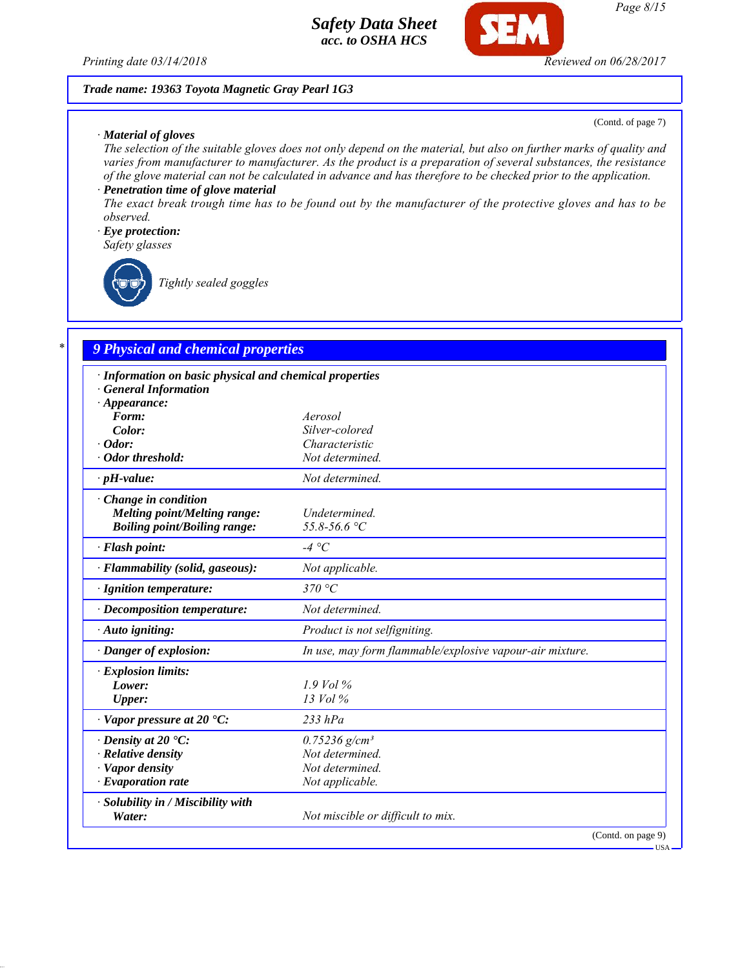*Printing date 03/14/2018 Reviewed on 06/28/2017*

### *Trade name: 19363 Toyota Magnetic Gray Pearl 1G3*

#### *· Material of gloves*

(Contd. of page 7)

*The selection of the suitable gloves does not only depend on the material, but also on further marks of quality and varies from manufacturer to manufacturer. As the product is a preparation of several substances, the resistance of the glove material can not be calculated in advance and has therefore to be checked prior to the application.*

## *· Penetration time of glove material*

*The exact break trough time has to be found out by the manufacturer of the protective gloves and has to be observed.*

### *· Eye protection:*

*Safety glasses*

*Tightly sealed goggles*

## *\* 9 Physical and chemical properties*

| · Information on basic physical and chemical properties<br><b>General Information</b> |                                                          |
|---------------------------------------------------------------------------------------|----------------------------------------------------------|
| $\cdot$ Appearance:                                                                   |                                                          |
| Form:                                                                                 | Aerosol                                                  |
| Color:                                                                                | Silver-colored                                           |
| $\cdot$ Odor:                                                                         | Characteristic                                           |
| · Odor threshold:                                                                     | Not determined.                                          |
| $\cdot$ pH-value:                                                                     | Not determined.                                          |
| $\cdot$ Change in condition                                                           |                                                          |
| Melting point/Melting range:                                                          | Undetermined.                                            |
| <b>Boiling point/Boiling range:</b>                                                   | 55.8-56.6 °C                                             |
| · Flash point:                                                                        | $-4 °C$                                                  |
| · Flammability (solid, gaseous):                                                      | Not applicable.                                          |
| · Ignition temperature:                                                               | 370 °C                                                   |
| · Decomposition temperature:                                                          | Not determined.                                          |
| $\cdot$ Auto igniting:                                                                | Product is not selfigniting.                             |
| · Danger of explosion:                                                                | In use, may form flammable/explosive vapour-air mixture. |
| · Explosion limits:                                                                   |                                                          |
| Lower:                                                                                | $1.9$ Vol %                                              |
| <b>Upper:</b>                                                                         | $13$ Vol $\%$                                            |
| $\cdot$ Vapor pressure at 20 $\cdot$ C:                                               | $233$ hPa                                                |
| $\cdot$ Density at 20 $\cdot$ C:                                                      | $0.75236$ g/cm <sup>3</sup>                              |
| $\cdot$ Relative density                                                              | Not determined.                                          |
| · Vapor density                                                                       | Not determined.                                          |
| $\cdot$ Evaporation rate                                                              | Not applicable.                                          |
| · Solubility in / Miscibility with<br>Water:                                          | Not miscible or difficult to mix.                        |
|                                                                                       | (Contd. on page 9)                                       |

USA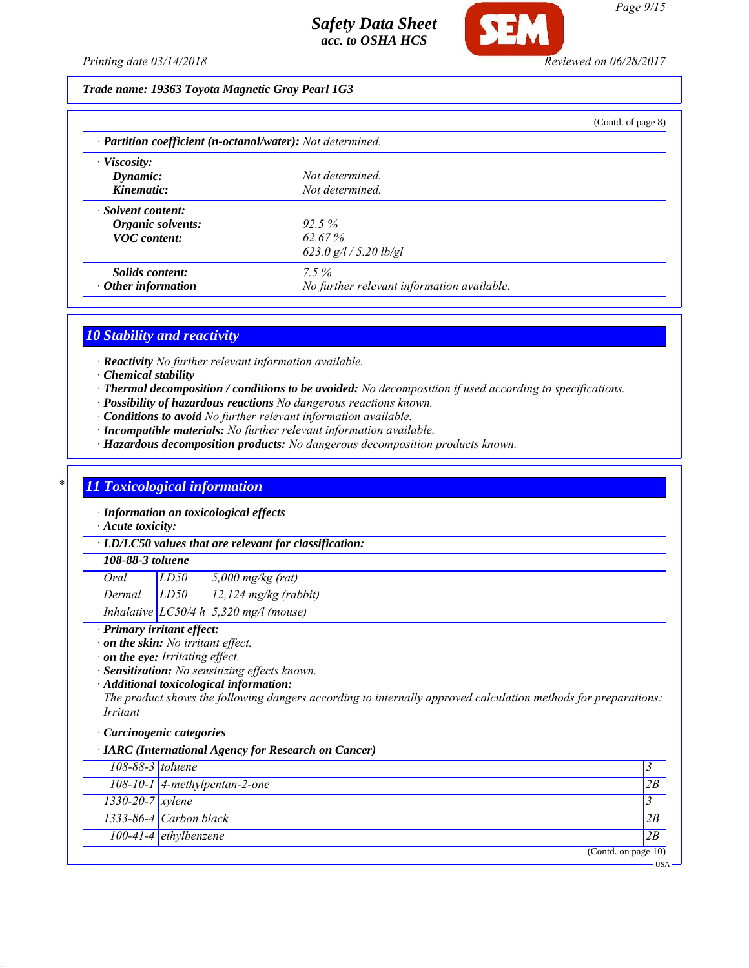

### *Trade name: 19363 Toyota Magnetic Gray Pearl 1G3*

|                                                            |                                            | (Contd. of page 8) |
|------------------------------------------------------------|--------------------------------------------|--------------------|
| · Partition coefficient (n-octanol/water): Not determined. |                                            |                    |
| $\cdot$ Viscosity:                                         |                                            |                    |
| Dynamic:                                                   | Not determined.                            |                    |
| Kinematic:                                                 | Not determined.                            |                    |
| · Solvent content:                                         |                                            |                    |
| Organic solvents:                                          | 92.5%                                      |                    |
| <b>VOC</b> content:                                        | 62.67%                                     |                    |
|                                                            | 623.0 $g/l / 5.20$ lb/gl                   |                    |
| Solids content:                                            | $7.5\%$                                    |                    |
| $\cdot$ Other information                                  | No further relevant information available. |                    |

### *10 Stability and reactivity*

*· Reactivity No further relevant information available.*

- *· Chemical stability*
- *· Thermal decomposition / conditions to be avoided: No decomposition if used according to specifications.*
- *· Possibility of hazardous reactions No dangerous reactions known.*
- *· Conditions to avoid No further relevant information available.*
- *· Incompatible materials: No further relevant information available.*
- *· Hazardous decomposition products: No dangerous decomposition products known.*

### *\* 11 Toxicological information*

*· Information on toxicological effects*

*· Acute toxicity:*

*· LD/LC50 values that are relevant for classification:*

### *108-88-3 toluene*

| Oral   | LD50                                            | $5,000$ mg/kg (rat)     |
|--------|-------------------------------------------------|-------------------------|
| Dermal | LD50                                            | $12,124$ mg/kg (rabbit) |
|        | $\frac{1}{2} \pi$ aro $\mu$ $\frac{1}{2}$ = 220 |                         |

*Inhalative LC50/4 h 5,320 mg/l (mouse)*

#### *· Primary irritant effect:*

*· on the skin: No irritant effect.*

*· on the eye: Irritating effect.*

*· Sensitization: No sensitizing effects known.*

*· Additional toxicological information:*

*The product shows the following dangers according to internally approved calculation methods for preparations: Irritant*

#### *· Carcinogenic categories*

|                        | · IARC (International Agency for Research on Cancer) |                        |
|------------------------|------------------------------------------------------|------------------------|
| 108-88-3 toluene       |                                                      |                        |
|                        | $108-10-1$ 4-methylpentan-2-one                      | 2B                     |
| $1330 - 20 - 7$ xylene |                                                      |                        |
|                        | 1333-86-4 Carbon black                               | 2B                     |
|                        | 100-41-4 ethylbenzene                                | 12B                    |
|                        |                                                      | (Contd. on page $10$ ) |
|                        |                                                      | <b>USA</b>             |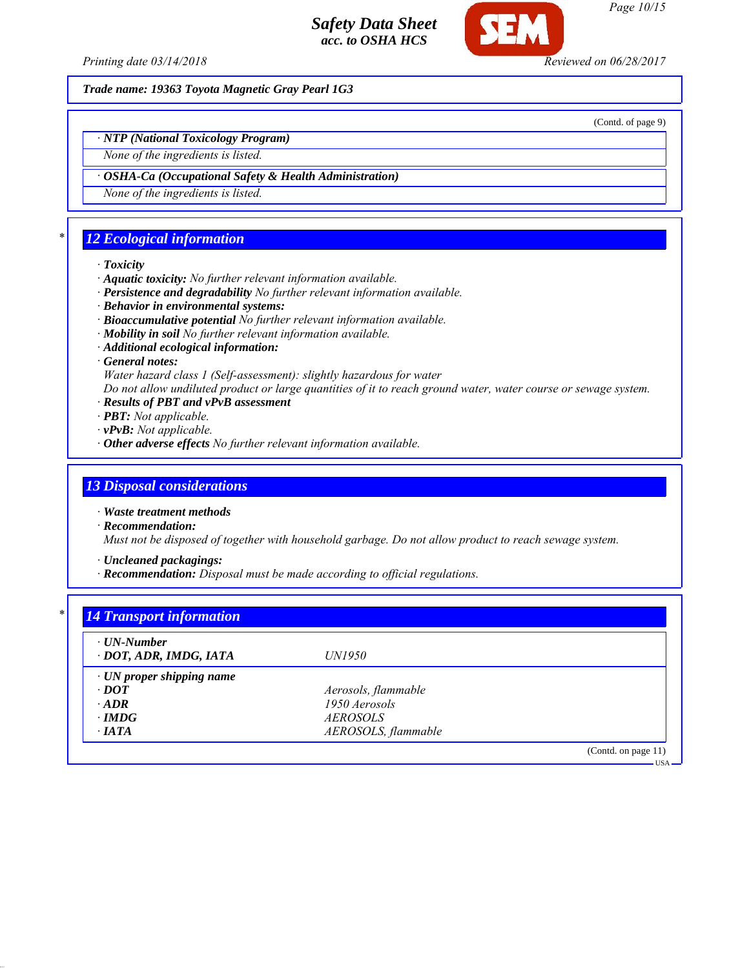

*Page 10/15*

*Printing date 03/14/2018 Reviewed on 06/28/2017*

*Trade name: 19363 Toyota Magnetic Gray Pearl 1G3*

(Contd. of page 9)

*· NTP (National Toxicology Program)*

*None of the ingredients is listed.*

*· OSHA-Ca (Occupational Safety & Health Administration)*

*None of the ingredients is listed.*

# *\* 12 Ecological information*

#### *· Toxicity*

- *· Aquatic toxicity: No further relevant information available.*
- *· Persistence and degradability No further relevant information available.*
- *· Behavior in environmental systems:*
- *· Bioaccumulative potential No further relevant information available.*
- *· Mobility in soil No further relevant information available.*
- *· Additional ecological information:*
- *· General notes:*

*Water hazard class 1 (Self-assessment): slightly hazardous for water*

*Do not allow undiluted product or large quantities of it to reach ground water, water course or sewage system.*

- *· Results of PBT and vPvB assessment*
- *· PBT: Not applicable.*
- *· vPvB: Not applicable.*
- *· Other adverse effects No further relevant information available.*

## *13 Disposal considerations*

*· Waste treatment methods*

*· Recommendation:*

*Must not be disposed of together with household garbage. Do not allow product to reach sewage system.*

*· Uncleaned packagings:*

*· Recommendation: Disposal must be made according to official regulations.*

| $\cdot$ UN-Number               |                     |  |
|---------------------------------|---------------------|--|
| · DOT, ADR, IMDG, IATA          | <i>UN1950</i>       |  |
| $\cdot$ UN proper shipping name |                     |  |
| $\cdot$ DOT                     | Aerosols, flammable |  |
| $\cdot$ ADR                     | 1950 Aerosols       |  |
| $\cdot$ IMDG                    | <i>AEROSOLS</i>     |  |
| $\cdot$ IATA                    | AEROSOLS, flammable |  |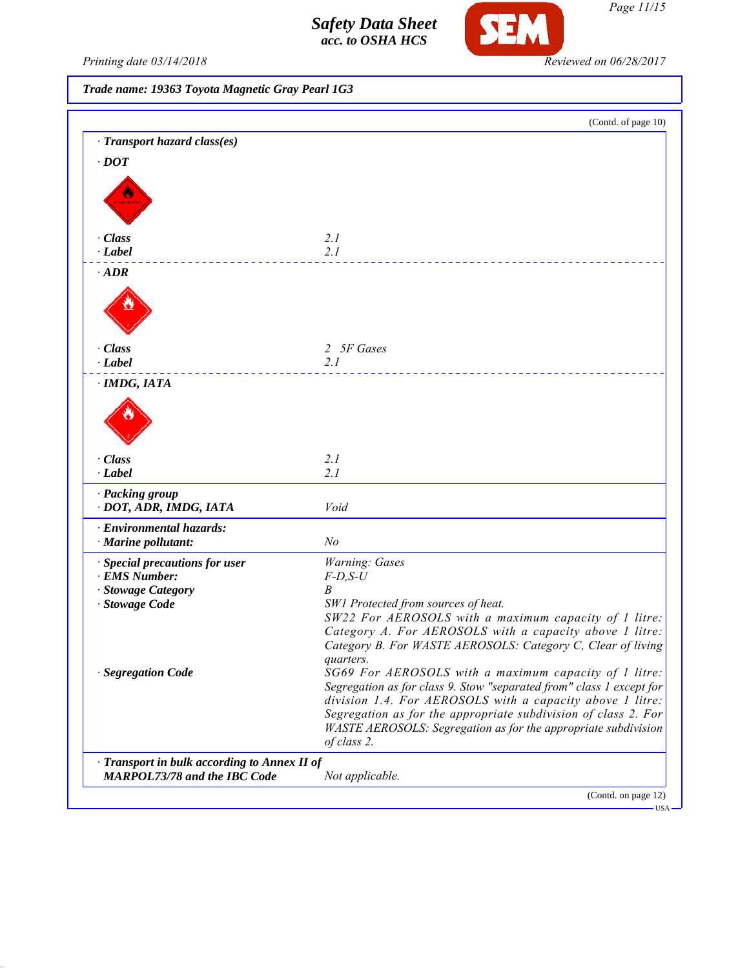

*Page 11/15*

USA

*Printing date 03/14/2018 Reviewed on 06/28/2017*

*Trade name: 19363 Toyota Magnetic Gray Pearl 1G3*

|                                              | (Contd. of page 10)                                                                                                           |
|----------------------------------------------|-------------------------------------------------------------------------------------------------------------------------------|
| · Transport hazard class(es)                 |                                                                                                                               |
| $\cdot$ DOT                                  |                                                                                                                               |
|                                              |                                                                                                                               |
|                                              |                                                                                                                               |
|                                              |                                                                                                                               |
| · Class                                      | 2.1                                                                                                                           |
| $\cdot$ Label                                | 2.1                                                                                                                           |
| $\cdot$ ADR                                  |                                                                                                                               |
|                                              |                                                                                                                               |
|                                              |                                                                                                                               |
|                                              |                                                                                                                               |
|                                              |                                                                                                                               |
| · Class<br>$\cdot$ Label                     | 2 5F Gases                                                                                                                    |
|                                              | 2.1                                                                                                                           |
| $\cdot$ IMDG, IATA                           |                                                                                                                               |
|                                              |                                                                                                                               |
|                                              |                                                                                                                               |
|                                              |                                                                                                                               |
| · Class                                      | 2.1                                                                                                                           |
| $\cdot$ Label                                | 2.1                                                                                                                           |
| · Packing group                              |                                                                                                                               |
| · DOT, ADR, IMDG, IATA                       | Void                                                                                                                          |
| · Environmental hazards:                     |                                                                                                                               |
| · Marine pollutant:                          | N <sub>o</sub>                                                                                                                |
| · Special precautions for user               | Warning: Gases                                                                                                                |
| · EMS Number:                                | $F$ -D,S-U                                                                                                                    |
| · Stowage Category                           | B                                                                                                                             |
| · Stowage Code                               | SW1 Protected from sources of heat.<br>SW22 For AEROSOLS with a maximum capacity of 1 litre:                                  |
|                                              | Category A. For AEROSOLS with a capacity above 1 litre:                                                                       |
|                                              | Category B. For WASTE AEROSOLS: Category C, Clear of living                                                                   |
|                                              | quarters.                                                                                                                     |
| · Segregation Code                           | SG69 For AEROSOLS with a maximum capacity of 1 litre:<br>Segregation as for class 9. Stow "separated from" class 1 except for |
|                                              | division 1.4. For AEROSOLS with a capacity above 1 litre:                                                                     |
|                                              | Segregation as for the appropriate subdivision of class 2. For                                                                |
|                                              | WASTE AEROSOLS: Segregation as for the appropriate subdivision                                                                |
|                                              | of class 2.                                                                                                                   |
| · Transport in bulk according to Annex II of |                                                                                                                               |
| <b>MARPOL73/78 and the IBC Code</b>          | Not applicable.                                                                                                               |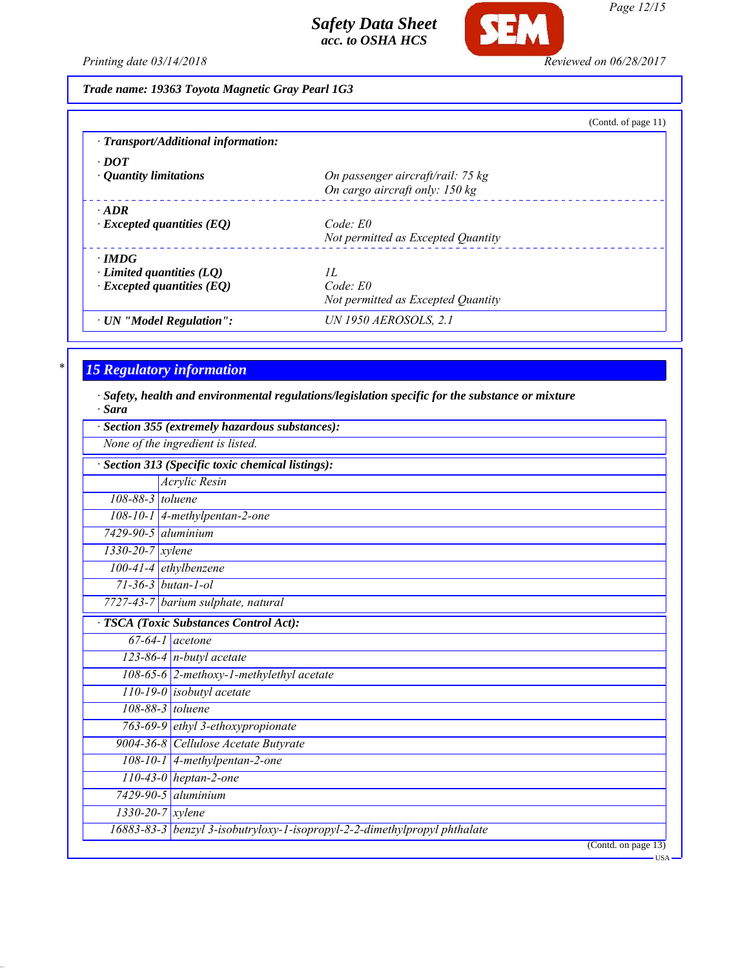

*Page 12/15*

*Printing date 03/14/2018 Reviewed on 06/28/2017*

*Trade name: 19363 Toyota Magnetic Gray Pearl 1G3*

|                                           | (Contd. of page 11)                |
|-------------------------------------------|------------------------------------|
| $\cdot$ Transport/Additional information: |                                    |
| $\cdot$ DOT                               |                                    |
| • Quantity limitations                    | On passenger aircraft/rail: 75 kg  |
|                                           | On cargo aircraft only: 150 kg     |
| $\cdot$ ADR                               |                                    |
| $\cdot$ Excepted quantities (EQ)          | Code: E0                           |
|                                           | Not permitted as Excepted Quantity |
| $\cdot$ IMDG                              |                                    |
| Limited quantities (LO)                   | H.                                 |
| $\cdot$ Excepted quantities (EQ)          | $Code$ $E0$                        |
|                                           | Not permitted as Excepted Quantity |
| · UN "Model Regulation":                  | <b>UN 1950 AEROSOLS, 2.1</b>       |

## *\* 15 Regulatory information*

*· Safety, health and environmental regulations/legislation specific for the substance or mixture · Sara*

|                           | None of the ingredient is listed.               |
|---------------------------|-------------------------------------------------|
|                           | Section 313 (Specific toxic chemical listings): |
|                           | Acrylic Resin                                   |
| 108-88-3 toluene          |                                                 |
|                           | $108-10-1$ 4-methylpentan-2-one                 |
| $7429 - 90 - 5$ aluminium |                                                 |
| $1330-20-7$ xylene        |                                                 |
|                           | $100-41-4$ ethylbenzene                         |
|                           | $71 - 36 - 3$ butan-1-ol                        |
|                           | 7727-43-7 barium sulphate, natural              |
|                           | <b>TSCA</b> (Toxic Substances Control Act):     |
|                           | $67-64-1$ acetone                               |
|                           | $123-86-4$ n-butyl acetate                      |
|                           | 108-65-6 2-methoxy-1-methylethyl acetate        |
|                           | $110-19-0$ isobutyl acetate                     |
|                           | $108 - 88 - 3$ toluene                          |
|                           | 763-69-9 ethyl 3-ethoxypropionate               |
|                           | 9004-36-8 Cellulose Acetate Butyrate            |
|                           | 108-10-1 4-methylpentan-2-one                   |
|                           | $110-43-0$ heptan-2-one                         |
|                           | $7429 - 90 - 5$ aluminium                       |
|                           |                                                 |
| $1330 - 20 - 7$ xylene    |                                                 |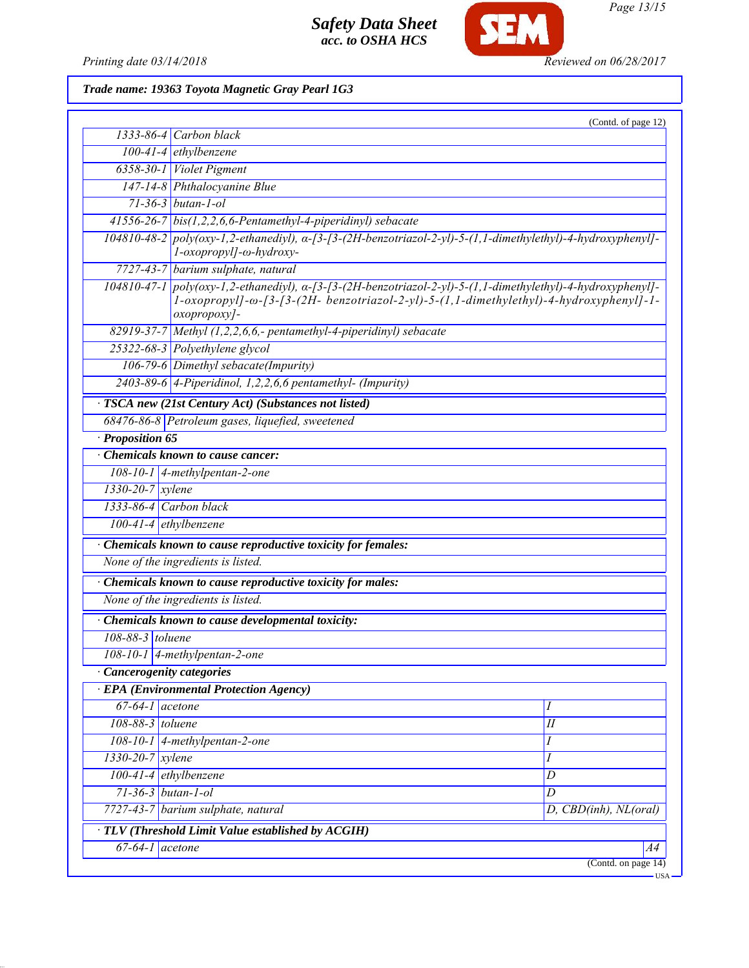

*Page 13/15*

Printing date 03/14/2018 **Reviewed on 06/28/2017** 

*Trade name: 19363 Toyota Magnetic Gray Pearl 1G3*

|                        |                                                                                                                                                                                                                                           | (Contd. of page 12)      |
|------------------------|-------------------------------------------------------------------------------------------------------------------------------------------------------------------------------------------------------------------------------------------|--------------------------|
|                        | 1333-86-4 Carbon black                                                                                                                                                                                                                    |                          |
|                        | $100-41-4$ ethylbenzene                                                                                                                                                                                                                   |                          |
|                        | 6358-30-1 Violet Pigment                                                                                                                                                                                                                  |                          |
|                        | 147-14-8 Phthalocyanine Blue                                                                                                                                                                                                              |                          |
|                        | $71 - 36 - 3$ butan-1-ol                                                                                                                                                                                                                  |                          |
|                        | $41556-26-7$ bis(1,2,2,6,6-Pentamethyl-4-piperidinyl) sebacate                                                                                                                                                                            |                          |
|                        | $104810-48-2$ poly(oxy-1,2-ethanediyl), $\alpha$ -[3-[3-(2H-benzotriazol-2-yl)-5-(1,1-dimethylethyl)-4-hydroxyphenyl]-<br>l-oxopropyl]-ω-hydroxy-                                                                                         |                          |
|                        | 7727-43-7 barium sulphate, natural                                                                                                                                                                                                        |                          |
|                        | $104810-47-1$ poly(oxy-1,2-ethanediyl), $\alpha$ -[3-[3-(2H-benzotriazol-2-yl)-5-(1,1-dimethylethyl)-4-hydroxyphenyl]-<br>1-oxopropyl]- $\omega$ -[3-[3-(2H- benzotriazol-2-yl)-5-(1,1-dimethylethyl)-4-hydroxyphenyl]-1-<br>oxopropoxy]- |                          |
|                        | $82919-37-7$ Methyl (1,2,2,6,6,- pentamethyl-4-piperidinyl) sebacate                                                                                                                                                                      |                          |
|                        | 25322-68-3 Polyethylene glycol                                                                                                                                                                                                            |                          |
|                        | 106-79-6 Dimethyl sebacate(Impurity)                                                                                                                                                                                                      |                          |
|                        | $2403-89-6$ 4-Piperidinol, 1,2,2,6,6 pentamethyl- (Impurity)                                                                                                                                                                              |                          |
|                        | · TSCA new (21st Century Act) (Substances not listed)                                                                                                                                                                                     |                          |
|                        | 68476-86-8 Petroleum gases, liquefied, sweetened                                                                                                                                                                                          |                          |
| Proposition 65         |                                                                                                                                                                                                                                           |                          |
|                        | Chemicals known to cause cancer:                                                                                                                                                                                                          |                          |
|                        | $108-10-1$ 4-methylpentan-2-one                                                                                                                                                                                                           |                          |
| $1330 - 20 - 7$ xylene |                                                                                                                                                                                                                                           |                          |
|                        | 1333-86-4 Carbon black                                                                                                                                                                                                                    |                          |
|                        | $100-41-4$ ethylbenzene                                                                                                                                                                                                                   |                          |
|                        | · Chemicals known to cause reproductive toxicity for females:                                                                                                                                                                             |                          |
|                        | None of the ingredients is listed.                                                                                                                                                                                                        |                          |
|                        | Chemicals known to cause reproductive toxicity for males:                                                                                                                                                                                 |                          |
|                        | None of the ingredients is listed.                                                                                                                                                                                                        |                          |
|                        |                                                                                                                                                                                                                                           |                          |
|                        | Chemicals known to cause developmental toxicity:                                                                                                                                                                                          |                          |
| $108-88-3$ toluene     |                                                                                                                                                                                                                                           |                          |
|                        | 108-10-1 4-methylpentan-2-one                                                                                                                                                                                                             |                          |
|                        | · Cancerogenity categories                                                                                                                                                                                                                |                          |
|                        | <b>EPA</b> (Environmental Protection Agency)                                                                                                                                                                                              |                          |
| $67-64-1$ acetone      |                                                                                                                                                                                                                                           |                          |
| 108-88-3 toluene       |                                                                                                                                                                                                                                           | $\overline{\mathit{II}}$ |
|                        | 108-10-1 4-methylpentan-2-one                                                                                                                                                                                                             | Ι                        |
| $1330 - 20 - 7$ xylene |                                                                                                                                                                                                                                           | I                        |
|                        | $100-41-4$ ethylbenzene                                                                                                                                                                                                                   | D                        |
|                        | 71-36-3 butan-1-ol                                                                                                                                                                                                                        | D                        |
|                        | 7727-43-7 barium sulphate, natural                                                                                                                                                                                                        | D, CBD(inh), NL(oral)    |
|                        | · TLV (Threshold Limit Value established by ACGIH)                                                                                                                                                                                        |                          |
| $67-64-1$ acetone      |                                                                                                                                                                                                                                           | A4                       |
|                        |                                                                                                                                                                                                                                           | (Contd. on page 14)      |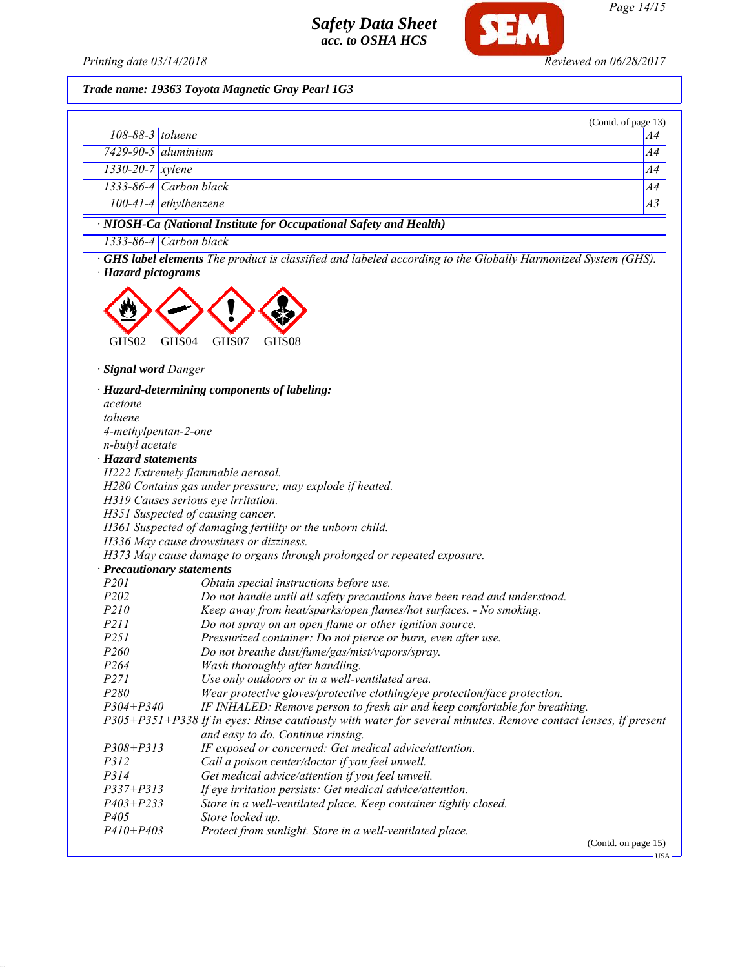

#### *Trade name: 19363 Toyota Magnetic Gray Pearl 1G3*

|                        |                                                                    | (Contd. of page 13) |
|------------------------|--------------------------------------------------------------------|---------------------|
| $108-88-3$ toluene     |                                                                    | A4                  |
|                        | $7429 - 90 - 5$ aluminium                                          | A4                  |
| $1330 - 20 - 7$ xylene |                                                                    | A4                  |
|                        | 1333-86-4 Carbon black                                             | A4                  |
|                        | 100-41-4 ethylbenzene                                              | A3                  |
|                        | · NIOSH-Ca (National Institute for Occupational Safety and Health) |                     |
|                        | $\frac{1}{2}$                                                      |                     |

*1333-86-4 Carbon black*

*· GHS label elements The product is classified and labeled according to the Globally Harmonized System (GHS). · Hazard pictograms*



*· Signal word Danger*

*· Hazard-determining components of labeling: acetone toluene 4-methylpentan-2-one n-butyl acetate · Hazard statements H222 Extremely flammable aerosol. H280 Contains gas under pressure; may explode if heated. H319 Causes serious eye irritation. H351 Suspected of causing cancer. H361 Suspected of damaging fertility or the unborn child. H336 May cause drowsiness or dizziness. H373 May cause damage to organs through prolonged or repeated exposure. · Precautionary statements P201 Obtain special instructions before use. P202 Do not handle until all safety precautions have been read and understood. P210 Keep away from heat/sparks/open flames/hot surfaces. - No smoking. P211 Do not spray on an open flame or other ignition source. P251 Pressurized container: Do not pierce or burn, even after use. P260 Do not breathe dust/fume/gas/mist/vapors/spray. P264 Wash thoroughly after handling. P271 Use only outdoors or in a well-ventilated area. P280 Wear protective gloves/protective clothing/eye protection/face protection. P304+P340 IF INHALED: Remove person to fresh air and keep comfortable for breathing. P305+P351+P338 If in eyes: Rinse cautiously with water for several minutes. Remove contact lenses, if present and easy to do. Continue rinsing. P308+P313 IF exposed or concerned: Get medical advice/attention. P312 Call a poison center/doctor if you feel unwell. P314 Get medical advice/attention if you feel unwell. P337+P313 If eye irritation persists: Get medical advice/attention. P403+P233 Store in a well-ventilated place. Keep container tightly closed. P405 Store locked up. P410+P403 Protect from sunlight. Store in a well-ventilated place.* (Contd. on page 15)

*Page 14/15*